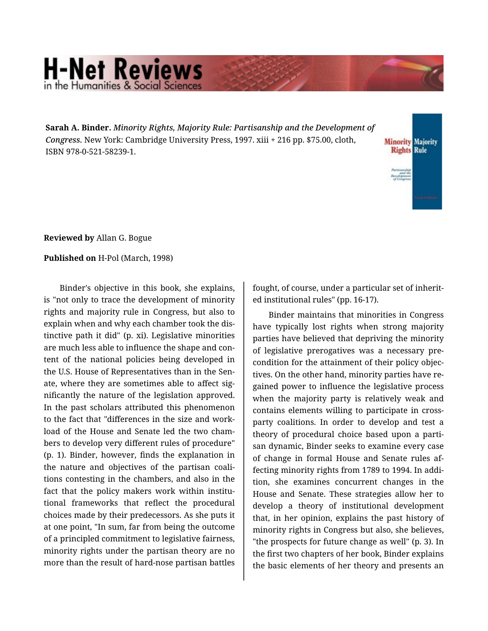## **H-Net Reviews** in the Humanities & Social Scie

**Sarah A. Binder.** *Minority Rights, Majority Rule: Partisanship and the Development of Congress.* New York: Cambridge University Press, 1997. xiii + 216 pp. \$75.00, cloth, ISBN 978-0-521-58239-1.



**Reviewed by** Allan G. Bogue

**Published on** H-Pol (March, 1998)

Binder's objective in this book, she explains, is "not only to trace the development of minority rights and majority rule in Congress, but also to explain when and why each chamber took the dis‐ tinctive path it did" (p. xi). Legislative minorities are much less able to influence the shape and con‐ tent of the national policies being developed in the U.S. House of Representatives than in the Sen‐ ate, where they are sometimes able to affect sig‐ nificantly the nature of the legislation approved. In the past scholars attributed this phenomenon to the fact that "differences in the size and work‐ load of the House and Senate led the two cham‐ bers to develop very different rules of procedure" (p. 1). Binder, however, finds the explanation in the nature and objectives of the partisan coali‐ tions contesting in the chambers, and also in the fact that the policy makers work within institutional frameworks that reflect the procedural choices made by their predecessors. As she puts it at one point, "In sum, far from being the outcome of a principled commitment to legislative fairness, minority rights under the partisan theory are no more than the result of hard-nose partisan battles

fought, of course, under a particular set of inherit‐ ed institutional rules" (pp. 16-17).

Binder maintains that minorities in Congress have typically lost rights when strong majority parties have believed that depriving the minority of legislative prerogatives was a necessary pre‐ condition for the attainment of their policy objec‐ tives. On the other hand, minority parties have re‐ gained power to influence the legislative process when the majority party is relatively weak and contains elements willing to participate in crossparty coalitions. In order to develop and test a theory of procedural choice based upon a parti‐ san dynamic, Binder seeks to examine every case of change in formal House and Senate rules af‐ fecting minority rights from 1789 to 1994. In addi‐ tion, she examines concurrent changes in the House and Senate. These strategies allow her to develop a theory of institutional development that, in her opinion, explains the past history of minority rights in Congress but also, she believes, "the prospects for future change as well" (p. 3). In the first two chapters of her book, Binder explains the basic elements of her theory and presents an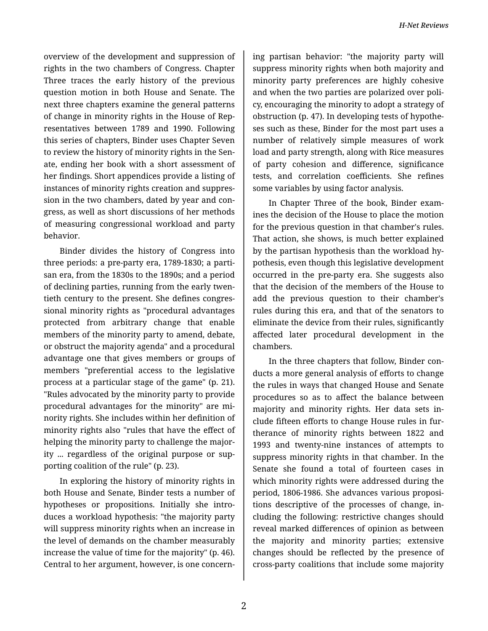overview of the development and suppression of rights in the two chambers of Congress. Chapter Three traces the early history of the previous question motion in both House and Senate. The next three chapters examine the general patterns of change in minority rights in the House of Rep‐ resentatives between 1789 and 1990. Following this series of chapters, Binder uses Chapter Seven to review the history of minority rights in the Sen‐ ate, ending her book with a short assessment of her findings. Short appendices provide a listing of instances of minority rights creation and suppres‐ sion in the two chambers, dated by year and con‐ gress, as well as short discussions of her methods of measuring congressional workload and party behavior.

Binder divides the history of Congress into three periods: a pre-party era, 1789-1830; a parti‐ san era, from the 1830s to the 1890s; and a period of declining parties, running from the early twen‐ tieth century to the present. She defines congres‐ sional minority rights as "procedural advantages protected from arbitrary change that enable members of the minority party to amend, debate, or obstruct the majority agenda" and a procedural advantage one that gives members or groups of members "preferential access to the legislative process at a particular stage of the game" (p. 21). "Rules advocated by the minority party to provide procedural advantages for the minority" are mi‐ nority rights. She includes within her definition of minority rights also "rules that have the effect of helping the minority party to challenge the majority ... regardless of the original purpose or sup‐ porting coalition of the rule" (p. 23).

In exploring the history of minority rights in both House and Senate, Binder tests a number of hypotheses or propositions. Initially she intro‐ duces a workload hypothesis: "the majority party will suppress minority rights when an increase in the level of demands on the chamber measurably increase the value of time for the majority" (p. 46). Central to her argument, however, is one concern‐

ing partisan behavior: "the majority party will suppress minority rights when both majority and minority party preferences are highly cohesive and when the two parties are polarized over poli‐ cy, encouraging the minority to adopt a strategy of obstruction (p. 47). In developing tests of hypothe‐ ses such as these, Binder for the most part uses a number of relatively simple measures of work load and party strength, along with Rice measures of party cohesion and difference, significance tests, and correlation coefficients. She refines some variables by using factor analysis.

In Chapter Three of the book, Binder exam‐ ines the decision of the House to place the motion for the previous question in that chamber's rules. That action, she shows, is much better explained by the partisan hypothesis than the workload hy‐ pothesis, even though this legislative development occurred in the pre-party era. She suggests also that the decision of the members of the House to add the previous question to their chamber's rules during this era, and that of the senators to eliminate the device from their rules, significantly affected later procedural development in the chambers.

In the three chapters that follow, Binder con‐ ducts a more general analysis of efforts to change the rules in ways that changed House and Senate procedures so as to affect the balance between majority and minority rights. Her data sets in‐ clude fifteen efforts to change House rules in fur‐ therance of minority rights between 1822 and 1993 and twenty-nine instances of attempts to suppress minority rights in that chamber. In the Senate she found a total of fourteen cases in which minority rights were addressed during the period, 1806-1986. She advances various proposi‐ tions descriptive of the processes of change, in‐ cluding the following: restrictive changes should reveal marked differences of opinion as between the majority and minority parties; extensive changes should be reflected by the presence of cross-party coalitions that include some majority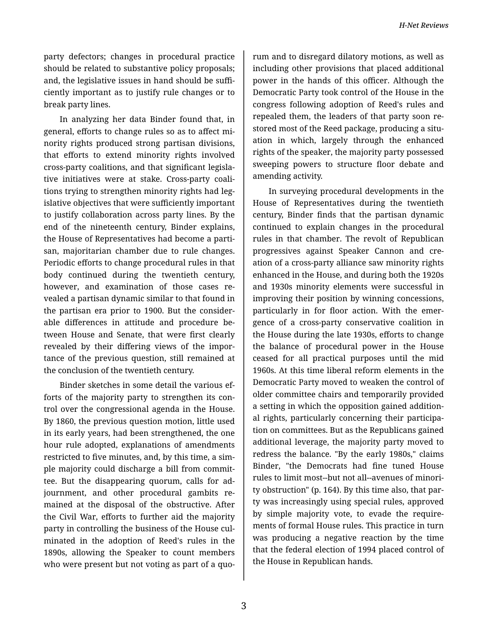party defectors; changes in procedural practice should be related to substantive policy proposals; and, the legislative issues in hand should be suffi‐ ciently important as to justify rule changes or to break party lines.

In analyzing her data Binder found that, in general, efforts to change rules so as to affect mi‐ nority rights produced strong partisan divisions, that efforts to extend minority rights involved cross-party coalitions, and that significant legisla‐ tive initiatives were at stake. Cross-party coali‐ tions trying to strengthen minority rights had leg‐ islative objectives that were sufficiently important to justify collaboration across party lines. By the end of the nineteenth century, Binder explains, the House of Representatives had become a parti‐ san, majoritarian chamber due to rule changes. Periodic efforts to change procedural rules in that body continued during the twentieth century, however, and examination of those cases revealed a partisan dynamic similar to that found in the partisan era prior to 1900. But the consider‐ able differences in attitude and procedure be‐ tween House and Senate, that were first clearly revealed by their differing views of the impor‐ tance of the previous question, still remained at the conclusion of the twentieth century.

Binder sketches in some detail the various ef‐ forts of the majority party to strengthen its con‐ trol over the congressional agenda in the House. By 1860, the previous question motion, little used in its early years, had been strengthened, the one hour rule adopted, explanations of amendments restricted to five minutes, and, by this time, a sim‐ ple majority could discharge a bill from commit‐ tee. But the disappearing quorum, calls for ad‐ journment, and other procedural gambits re‐ mained at the disposal of the obstructive. After the Civil War, efforts to further aid the majority party in controlling the business of the House cul‐ minated in the adoption of Reed's rules in the 1890s, allowing the Speaker to count members who were present but not voting as part of a quo‐

rum and to disregard dilatory motions, as well as including other provisions that placed additional power in the hands of this officer. Although the Democratic Party took control of the House in the congress following adoption of Reed's rules and repealed them, the leaders of that party soon re‐ stored most of the Reed package, producing a situation in which, largely through the enhanced rights of the speaker, the majority party possessed sweeping powers to structure floor debate and amending activity.

In surveying procedural developments in the House of Representatives during the twentieth century, Binder finds that the partisan dynamic continued to explain changes in the procedural rules in that chamber. The revolt of Republican progressives against Speaker Cannon and cre‐ ation of a cross-party alliance saw minority rights enhanced in the House, and during both the 1920s and 1930s minority elements were successful in improving their position by winning concessions, particularly in for floor action. With the emergence of a cross-party conservative coalition in the House during the late 1930s, efforts to change the balance of procedural power in the House ceased for all practical purposes until the mid 1960s. At this time liberal reform elements in the Democratic Party moved to weaken the control of older committee chairs and temporarily provided a setting in which the opposition gained addition‐ al rights, particularly concerning their participa‐ tion on committees. But as the Republicans gained additional leverage, the majority party moved to redress the balance. "By the early 1980s," claims Binder, "the Democrats had fine tuned House rules to limit most--but not all--avenues of minori‐ ty obstruction" (p. 164). By this time also, that par‐ ty was increasingly using special rules, approved by simple majority vote, to evade the require‐ ments of formal House rules. This practice in turn was producing a negative reaction by the time that the federal election of 1994 placed control of the House in Republican hands.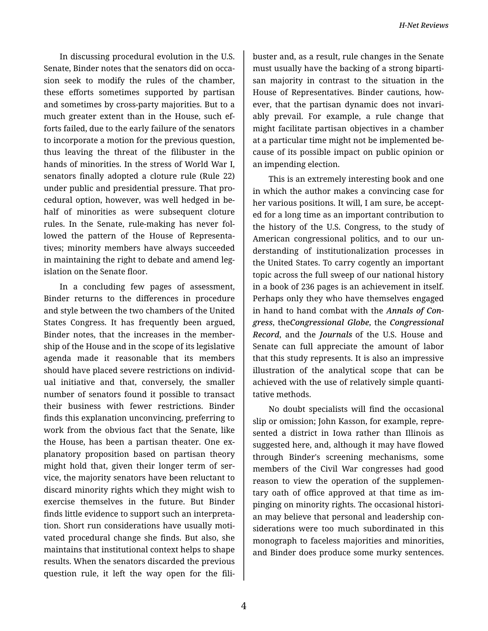In discussing procedural evolution in the U.S. Senate, Binder notes that the senators did on occa‐ sion seek to modify the rules of the chamber, these efforts sometimes supported by partisan and sometimes by cross-party majorities. But to a much greater extent than in the House, such ef‐ forts failed, due to the early failure of the senators to incorporate a motion for the previous question, thus leaving the threat of the filibuster in the hands of minorities. In the stress of World War I, senators finally adopted a cloture rule (Rule 22) under public and presidential pressure. That pro‐ cedural option, however, was well hedged in be‐ half of minorities as were subsequent cloture rules. In the Senate, rule-making has never fol‐ lowed the pattern of the House of Representa‐ tives; minority members have always succeeded in maintaining the right to debate and amend legislation on the Senate floor.

In a concluding few pages of assessment, Binder returns to the differences in procedure and style between the two chambers of the United States Congress. It has frequently been argued, Binder notes, that the increases in the member‐ ship of the House and in the scope of its legislative agenda made it reasonable that its members should have placed severe restrictions on individ‐ ual initiative and that, conversely, the smaller number of senators found it possible to transact their business with fewer restrictions. Binder finds this explanation unconvincing, preferring to work from the obvious fact that the Senate, like the House, has been a partisan theater. One ex‐ planatory proposition based on partisan theory might hold that, given their longer term of ser‐ vice, the majority senators have been reluctant to discard minority rights which they might wish to exercise themselves in the future. But Binder finds little evidence to support such an interpreta‐ tion. Short run considerations have usually moti‐ vated procedural change she finds. But also, she maintains that institutional context helps to shape results. When the senators discarded the previous question rule, it left the way open for the fili‐

buster and, as a result, rule changes in the Senate must usually have the backing of a strong biparti‐ san majority in contrast to the situation in the House of Representatives. Binder cautions, how‐ ever, that the partisan dynamic does not invari‐ ably prevail. For example, a rule change that might facilitate partisan objectives in a chamber at a particular time might not be implemented be‐ cause of its possible impact on public opinion or an impending election.

This is an extremely interesting book and one in which the author makes a convincing case for her various positions. It will, I am sure, be accept‐ ed for a long time as an important contribution to the history of the U.S. Congress, to the study of American congressional politics, and to our un‐ derstanding of institutionalization processes in the United States. To carry cogently an important topic across the full sweep of our national history in a book of 236 pages is an achievement in itself. Perhaps only they who have themselves engaged in hand to hand combat with the *Annals of Con‐ gress*, the*Congressional Globe*, the *Congressional Record*, and the *Journals* of the U.S. House and Senate can full appreciate the amount of labor that this study represents. It is also an impressive illustration of the analytical scope that can be achieved with the use of relatively simple quanti‐ tative methods.

No doubt specialists will find the occasional slip or omission; John Kasson, for example, repre‐ sented a district in Iowa rather than Illinois as suggested here, and, although it may have flowed through Binder's screening mechanisms, some members of the Civil War congresses had good reason to view the operation of the supplemen‐ tary oath of office approved at that time as im‐ pinging on minority rights. The occasional histori‐ an may believe that personal and leadership con‐ siderations were too much subordinated in this monograph to faceless majorities and minorities, and Binder does produce some murky sentences.